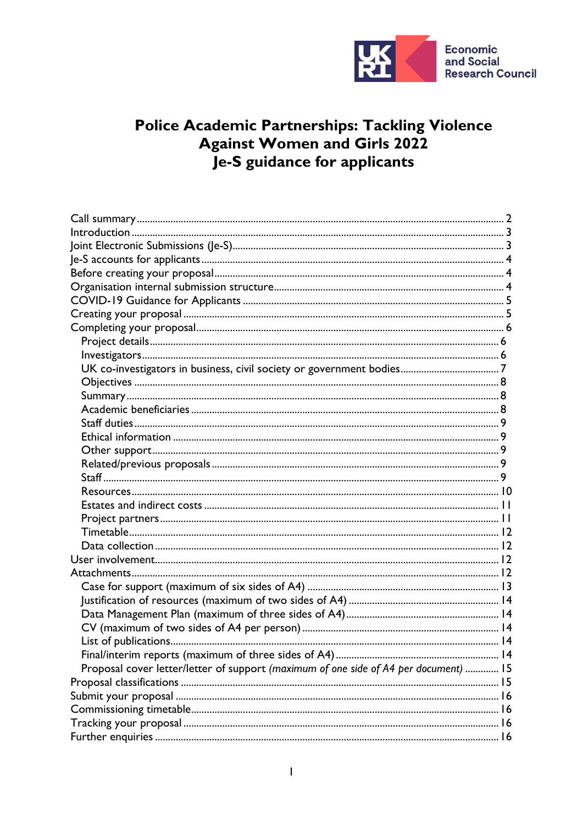

# Police Academic Partnerships: Tackling Violence<br>Against Women and Girls 2022 Je-S guidance for applicants

| Proposal cover letter/letter of support (maximum of one side of A4 per document)  15 |  |
|--------------------------------------------------------------------------------------|--|
|                                                                                      |  |
|                                                                                      |  |
|                                                                                      |  |
|                                                                                      |  |
|                                                                                      |  |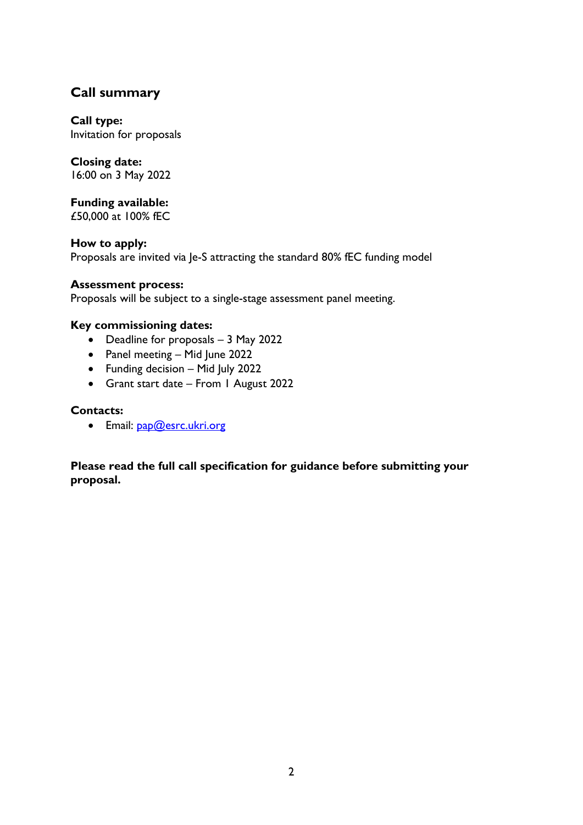# <span id="page-1-0"></span>**Call summary**

**Call type:**  Invitation for proposals

## **Closing date:**

16:00 on 3 May 2022

**Funding available:** £50,000 at 100% fEC

**How to apply:** Proposals are invited via Je-S attracting the standard 80% fEC funding model

#### **Assessment process:**

Proposals will be subject to a single-stage assessment panel meeting.

#### **Key commissioning dates:**

- Deadline for proposals 3 May 2022
- Panel meeting Mid June 2022
- Funding decision Mid July 2022
- Grant start date From 1 August 2022

#### **Contacts:**

• Email: [pap@esrc.ukri.org](mailto:pap@esrc.ukri.org)

**Please read the full call specification for guidance before submitting your proposal.**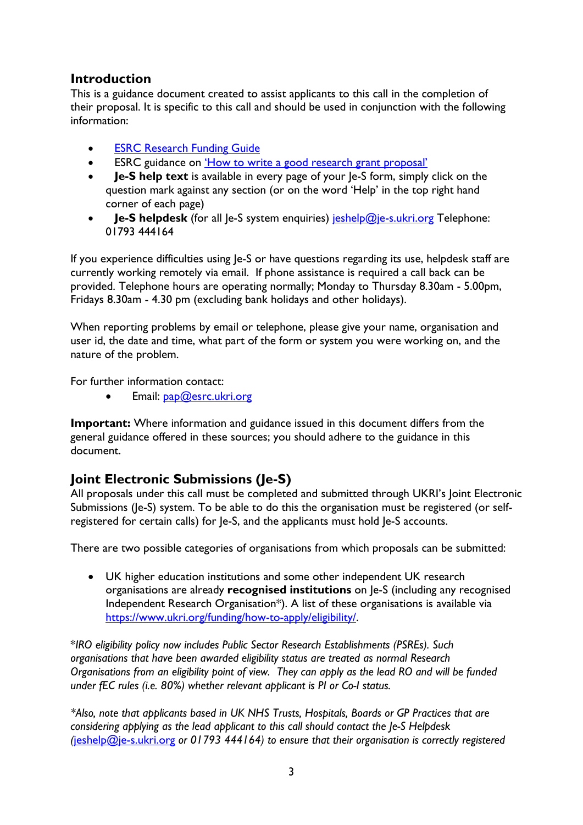## <span id="page-2-0"></span>**Introduction**

This is a guidance document created to assist applicants to this call in the completion of their proposal. It is specific to this call and should be used in conjunction with the following information:

- **[ESRC Research Funding Guide](https://esrc.ukri.org/funding/guidance-for-applicants/research-funding-guide/)**
- ESRC guidance on 'How to [write a good research grant proposal'](https://esrc.ukri.org/funding/guidance-for-applicants/how-to-write-a-good-research-grant-proposal/)
- **Je-S help text** is available in every page of your Je-S form, simply click on the question mark against any section (or on the word 'Help' in the top right hand corner of each page)
- **Je-S helpdesk** (for all Je-S system enquiries) [jeshelp@je-s.ukri.org](mailto:jeshelp@je-s.ukri.org) Telephone: 01793 444164

If you experience difficulties using Je-S or have questions regarding its use, helpdesk staff are currently working remotely via email. If phone assistance is required a call back can be provided. Telephone hours are operating normally; Monday to Thursday 8.30am - 5.00pm, Fridays 8.30am - 4.30 pm (excluding bank holidays and other holidays).

When reporting problems by email or telephone, please give your name, organisation and user id, the date and time, what part of the form or system you were working on, and the nature of the problem.

For further information contact:

• Email: [pap@esrc.ukri.org](mailto:pap@esrc.ukri.org)

**Important:** Where information and guidance issued in this document differs from the general guidance offered in these sources; you should adhere to the guidance in this document.

# <span id="page-2-1"></span>**Joint Electronic Submissions (Je-S)**

All proposals under this call must be completed and submitted through UKRI's Joint Electronic Submissions (Je-S) system. To be able to do this the organisation must be registered (or selfregistered for certain calls) for Je-S, and the applicants must hold Je-S accounts.

There are two possible categories of organisations from which proposals can be submitted:

• UK higher education institutions and some other independent UK research organisations are already **recognised institutions** on Je-S (including any recognised Independent Research Organisation\*). A list of these organisations is available via [https://www.ukri.org/funding/how-to-apply/eligibility/.](https://www.ukri.org/funding/how-to-apply/eligibility/)

\**IRO eligibility policy now includes Public Sector Research Establishments (PSREs). Such organisations that have been awarded eligibility status are treated as normal Research Organisations from an eligibility point of view. They can apply as the lead RO and will be funded under fEC rules (i.e. 80%) whether relevant applicant is PI or Co-I status.*

*\*Also, note that applicants based in UK NHS Trusts, Hospitals, Boards or GP Practices that are considering applying as the lead applicant to this call should contact the Je-S Helpdesk (*[jeshelp@je-s.ukri.org](mailto:jeshelp@je-s.ukri.org) *or 01793 444164) to ensure that their organisation is correctly registered*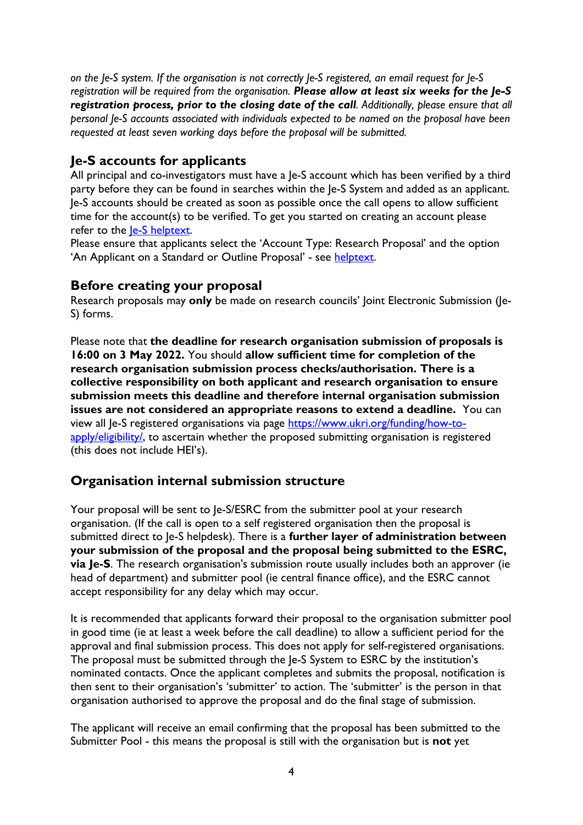*on the Je-S system. If the organisation is not correctly Je-S registered, an email request for Je-S registration will be required from the organisation. Please allow at least six weeks for the Je-S registration process, prior to the closing date of the call. Additionally, please ensure that all personal Je-S accounts associated with individuals expected to be named on the proposal have been requested at least seven working days before the proposal will be submitted.*

# <span id="page-3-0"></span>**Je-S accounts for applicants**

All principal and co-investigators must have a Je-S account which has been verified by a third party before they can be found in searches within the Je-S System and added as an applicant. Je-S accounts should be created as soon as possible once the call opens to allow sufficient time for the account(s) to be verified. To get you started on creating an account please refer to the *le-S* helptext.

Please ensure that applicants select the 'Account Type: Research Proposal' and the option 'An Applicant on a Standard or Outline Proposal' - see [helptext.](https://je-s.rcuk.ac.uk/Handbook/pages/SettingupaJeSaccount/SettingupaJeSaccount.htm)

#### <span id="page-3-1"></span>**Before creating your proposal**

Research proposals may **only** be made on research councils' Joint Electronic Submission (Je-S) forms.

Please note that **the deadline for research organisation submission of proposals is 16:00 on 3 May 2022.** You should **allow sufficient time for completion of the research organisation submission process checks/authorisation. There is a collective responsibility on both applicant and research organisation to ensure submission meets this deadline and therefore internal organisation submission issues are not considered an appropriate reasons to extend a deadline.** You can view all Je-S registered organisations via page [https://www.ukri.org/funding/how-to](https://www.ukri.org/funding/how-to-apply/eligibility/)[apply/eligibility/,](https://www.ukri.org/funding/how-to-apply/eligibility/) to ascertain whether the proposed submitting organisation is registered (this does not include HEI's).

## <span id="page-3-2"></span>**Organisation internal submission structure**

Your proposal will be sent to Je-S/ESRC from the submitter pool at your research organisation. (If the call is open to a self registered organisation then the proposal is submitted direct to Je-S helpdesk). There is a **further layer of administration between your submission of the proposal and the proposal being submitted to the ESRC, via Je-S**. The research organisation's submission route usually includes both an approver (ie head of department) and submitter pool (ie central finance office), and the ESRC cannot accept responsibility for any delay which may occur.

It is recommended that applicants forward their proposal to the organisation submitter pool in good time (ie at least a week before the call deadline) to allow a sufficient period for the approval and final submission process. This does not apply for self-registered organisations. The proposal must be submitted through the Je-S System to ESRC by the institution's nominated contacts. Once the applicant completes and submits the proposal, notification is then sent to their organisation's 'submitter' to action. The 'submitter' is the person in that organisation authorised to approve the proposal and do the final stage of submission.

The applicant will receive an email confirming that the proposal has been submitted to the Submitter Pool - this means the proposal is still with the organisation but is **not** yet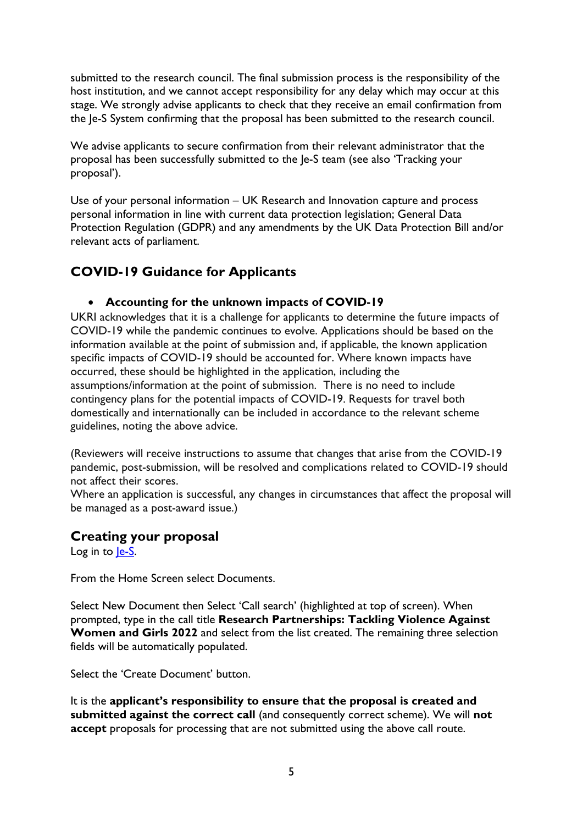submitted to the research council. The final submission process is the responsibility of the host institution, and we cannot accept responsibility for any delay which may occur at this stage. We strongly advise applicants to check that they receive an email confirmation from the Je-S System confirming that the proposal has been submitted to the research council.

We advise applicants to secure confirmation from their relevant administrator that the proposal has been successfully submitted to the Je-S team (see also 'Tracking your proposal').

Use of your personal information – UK Research and Innovation capture and process personal information in line with current data protection legislation; General Data Protection Regulation (GDPR) and any amendments by the UK Data Protection Bill and/or relevant acts of parliament.

# <span id="page-4-0"></span>**COVID-19 Guidance for Applicants**

#### • **Accounting for the unknown impacts of COVID-19**

UKRI acknowledges that it is a challenge for applicants to determine the future impacts of COVID-19 while the pandemic continues to evolve. Applications should be based on the information available at the point of submission and, if applicable, the known application specific impacts of COVID-19 should be accounted for. Where known impacts have occurred, these should be highlighted in the application, including the assumptions/information at the point of submission. There is no need to include contingency plans for the potential impacts of COVID-19. Requests for travel both domestically and internationally can be included in accordance to the relevant scheme guidelines, noting the above advice.

(Reviewers will receive instructions to assume that changes that arise from the COVID-19 pandemic, post-submission, will be resolved and complications related to COVID-19 should not affect their scores.

Where an application is successful, any changes in circumstances that affect the proposal will be managed as a post-award issue.)

## <span id="page-4-1"></span>**Creating your proposal**

Log in to le-S.

From the Home Screen select Documents.

Select New Document then Select 'Call search' (highlighted at top of screen). When prompted, type in the call title **Research Partnerships: Tackling Violence Against Women and Girls 2022** and select from the list created. The remaining three selection fields will be automatically populated.

Select the 'Create Document' button.

It is the **applicant's responsibility to ensure that the proposal is created and submitted against the correct call** (and consequently correct scheme). We will **not accept** proposals for processing that are not submitted using the above call route.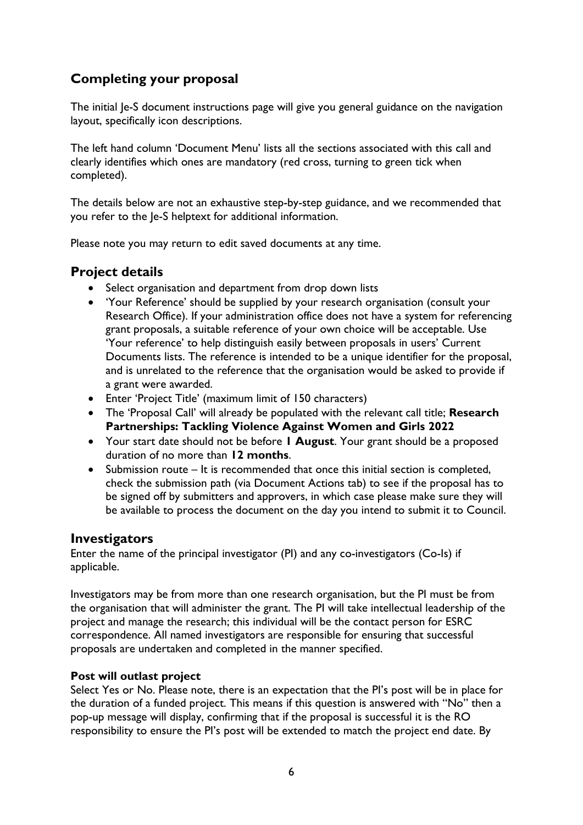# <span id="page-5-0"></span>**Completing your proposal**

The initial Je-S document instructions page will give you general guidance on the navigation layout, specifically icon descriptions.

The left hand column 'Document Menu' lists all the sections associated with this call and clearly identifies which ones are mandatory (red cross, turning to green tick when completed).

The details below are not an exhaustive step-by-step guidance, and we recommended that you refer to the Je-S helptext for additional information.

Please note you may return to edit saved documents at any time.

#### <span id="page-5-1"></span>**Project details**

- Select organisation and department from drop down lists
- 'Your Reference' should be supplied by your research organisation (consult your Research Office). If your administration office does not have a system for referencing grant proposals, a suitable reference of your own choice will be acceptable. Use 'Your reference' to help distinguish easily between proposals in users' Current Documents lists. The reference is intended to be a unique identifier for the proposal, and is unrelated to the reference that the organisation would be asked to provide if a grant were awarded.
- Enter 'Project Title' (maximum limit of 150 characters)
- The 'Proposal Call' will already be populated with the relevant call title; **Research Partnerships: Tackling Violence Against Women and Girls 2022**
- Your start date should not be before **1 August**. Your grant should be a proposed duration of no more than **12 months**.
- Submission route It is recommended that once this initial section is completed, check the submission path (via Document Actions tab) to see if the proposal has to be signed off by submitters and approvers, in which case please make sure they will be available to process the document on the day you intend to submit it to Council.

#### <span id="page-5-2"></span>**Investigators**

Enter the name of the principal investigator (PI) and any co-investigators (Co-Is) if applicable.

Investigators may be from more than one research organisation, but the PI must be from the organisation that will administer the grant. The PI will take intellectual leadership of the project and manage the research; this individual will be the contact person for ESRC correspondence. All named investigators are responsible for ensuring that successful proposals are undertaken and completed in the manner specified.

#### **Post will outlast project**

Select Yes or No. Please note, there is an expectation that the PI's post will be in place for the duration of a funded project. This means if this question is answered with "No" then a pop-up message will display, confirming that if the proposal is successful it is the RO responsibility to ensure the PI's post will be extended to match the project end date. By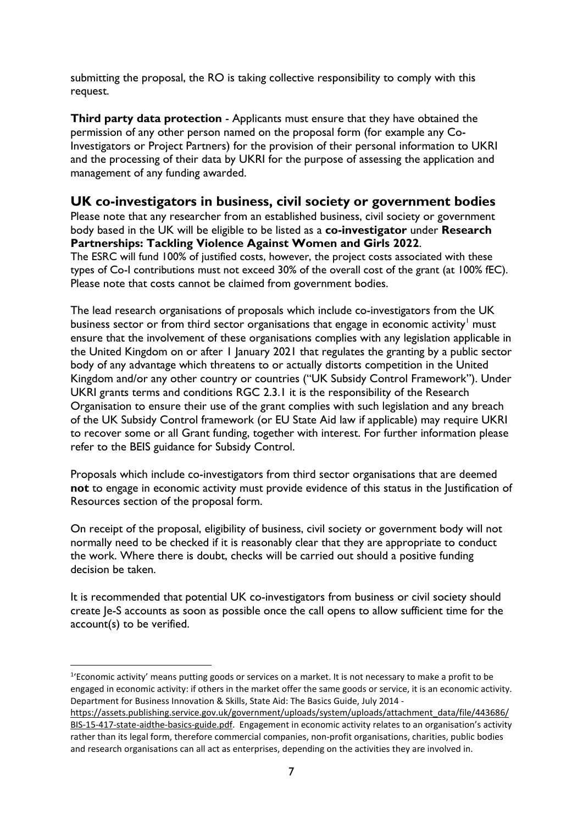submitting the proposal, the RO is taking collective responsibility to comply with this request.

**Third party data protection** - Applicants must ensure that they have obtained the permission of any other person named on the proposal form (for example any Co-Investigators or Project Partners) for the provision of their personal information to UKRI and the processing of their data by UKRI for the purpose of assessing the application and management of any funding awarded.

#### <span id="page-6-0"></span>**UK co-investigators in business, civil society or government bodies**

Please note that any researcher from an established business, civil society or government body based in the UK will be eligible to be listed as a **co-investigator** under **Research Partnerships: Tackling Violence Against Women and Girls 2022**. The ESRC will fund 100% of justified costs, however, the project costs associated with these types of Co-I contributions must not exceed 30% of the overall cost of the grant (at 100% fEC). Please note that costs cannot be claimed from government bodies.

The lead research organisations of proposals which include co-investigators from the UK business sector or from third sector organisations that engage in economic activity<sup>[1](#page-6-1)</sup> must ensure that the involvement of these organisations complies with any legislation applicable in the United Kingdom on or after 1 January 2021 that regulates the granting by a public sector body of any advantage which threatens to or actually distorts competition in the United Kingdom and/or any other country or countries ("UK Subsidy Control Framework"). Under UKRI grants terms and conditions RGC 2.3.1 it is the responsibility of the Research Organisation to ensure their use of the grant complies with such legislation and any breach of the UK Subsidy Control framework (or EU State Aid law if applicable) may require UKRI to recover some or all Grant funding, together with interest. For further information please refer to the BEIS guidance for Subsidy Control.

Proposals which include co-investigators from third sector organisations that are deemed **not** to engage in economic activity must provide evidence of this status in the Justification of Resources section of the proposal form.

On receipt of the proposal, eligibility of business, civil society or government body will not normally need to be checked if it is reasonably clear that they are appropriate to conduct the work. Where there is doubt, checks will be carried out should a positive funding decision be taken.

It is recommended that potential UK co-investigators from business or civil society should create Je-S accounts as soon as possible once the call opens to allow sufficient time for the account(s) to be verified.

<span id="page-6-1"></span><sup>&</sup>lt;sup>1</sup>'Economic activity' means putting goods or services on a market. It is not necessary to make a profit to be engaged in economic activity: if others in the market offer the same goods or service, it is an economic activity. Department for Business Innovation & Skills, State Aid: The Basics Guide, July 2014 -

[https://assets.publishing.service.gov.uk/government/uploads/system/uploads/attachment\\_data/file/443686/](https://eur01.safelinks.protection.outlook.com/?url=https%3A%2F%2Fassets.publishing.service.gov.uk%2Fgovernment%2Fuploads%2Fsystem%2Fuploads%2Fattachment_data%2Ffile%2F443686%2FBIS-15-417-state-aidthe-basics-guide.pdf&data=04%7C01%7CJulian.Style%40esrc.ukri.org%7C698ff429d0cf449ff2bb08d99961c172%7C2dcfd016f9df488cb16b68345b59afb7%7C0%7C0%7C637709467394267181%7CUnknown%7CTWFpbGZsb3d8eyJWIjoiMC4wLjAwMDAiLCJQIjoiV2luMzIiLCJBTiI6Ik1haWwiLCJXVCI6Mn0%3D%7C1000&sdata=ZuiRexMbE3XfKjDuuuMn96f2FMG04w%2FdfEW7lO6q0VY%3D&reserved=0) [BIS-15-417-state-aidthe-basics-guide.pdf.](https://eur01.safelinks.protection.outlook.com/?url=https%3A%2F%2Fassets.publishing.service.gov.uk%2Fgovernment%2Fuploads%2Fsystem%2Fuploads%2Fattachment_data%2Ffile%2F443686%2FBIS-15-417-state-aidthe-basics-guide.pdf&data=04%7C01%7CJulian.Style%40esrc.ukri.org%7C698ff429d0cf449ff2bb08d99961c172%7C2dcfd016f9df488cb16b68345b59afb7%7C0%7C0%7C637709467394267181%7CUnknown%7CTWFpbGZsb3d8eyJWIjoiMC4wLjAwMDAiLCJQIjoiV2luMzIiLCJBTiI6Ik1haWwiLCJXVCI6Mn0%3D%7C1000&sdata=ZuiRexMbE3XfKjDuuuMn96f2FMG04w%2FdfEW7lO6q0VY%3D&reserved=0) Engagement in economic activity relates to an organisation's activity rather than its legal form, therefore commercial companies, non-profit organisations, charities, public bodies and research organisations can all act as enterprises, depending on the activities they are involved in.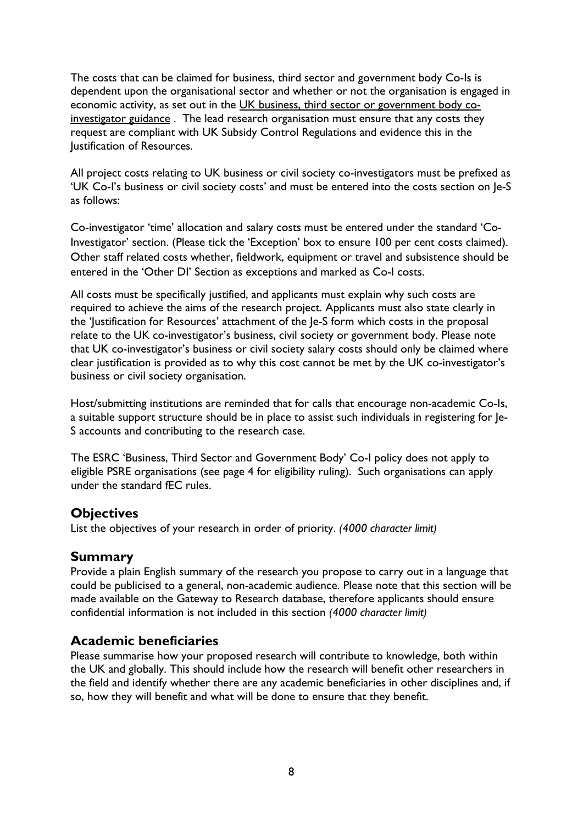The costs that can be claimed for business, third sector and government body Co-Is is dependent upon the organisational sector and whether or not the organisation is engaged in economic activity, as set out in the [UK business, third sector or](https://eur01.safelinks.protection.outlook.com/?url=https%3A%2F%2Fwww.ukri.org%2Fwp-content%2Fuploads%2F2021%2F07%2FESRC-210721-Including-Co-investigatorsFromUK-businessThirdSectorOrGovernment.pdf&data=04%7C01%7CJulian.Style%40esrc.ukri.org%7C698ff429d0cf449ff2bb08d99961c172%7C2dcfd016f9df488cb16b68345b59afb7%7C0%7C0%7C637709467394257208%7CUnknown%7CTWFpbGZsb3d8eyJWIjoiMC4wLjAwMDAiLCJQIjoiV2luMzIiLCJBTiI6Ik1haWwiLCJXVCI6Mn0%3D%7C1000&sdata=751VEOYY9K%2F%2BDefQW9h7K%2FKdngBaHJFKjHev0dD0g1Y%3D&reserved=0) government body co[investigator](https://eur01.safelinks.protection.outlook.com/?url=https%3A%2F%2Fwww.ukri.org%2Fwp-content%2Fuploads%2F2021%2F07%2FESRC-210721-Including-Co-investigatorsFromUK-businessThirdSectorOrGovernment.pdf&data=04%7C01%7CJulian.Style%40esrc.ukri.org%7C698ff429d0cf449ff2bb08d99961c172%7C2dcfd016f9df488cb16b68345b59afb7%7C0%7C0%7C637709467394257208%7CUnknown%7CTWFpbGZsb3d8eyJWIjoiMC4wLjAwMDAiLCJQIjoiV2luMzIiLCJBTiI6Ik1haWwiLCJXVCI6Mn0%3D%7C1000&sdata=751VEOYY9K%2F%2BDefQW9h7K%2FKdngBaHJFKjHev0dD0g1Y%3D&reserved=0) guidance . The lead research organisation must ensure that any costs they request are compliant with UK Subsidy Control Regulations and evidence this in the Justification of Resources.

All project costs relating to UK business or civil society co-investigators must be prefixed as 'UK Co-I's business or civil society costs' and must be entered into the costs section on Je-S as follows:

Co-investigator 'time' allocation and salary costs must be entered under the standard 'Co-Investigator' section. (Please tick the 'Exception' box to ensure 100 per cent costs claimed). Other staff related costs whether, fieldwork, equipment or travel and subsistence should be entered in the 'Other DI' Section as exceptions and marked as Co-I costs.

All costs must be specifically justified, and applicants must explain why such costs are required to achieve the aims of the research project. Applicants must also state clearly in the 'Justification for Resources' attachment of the Je-S form which costs in the proposal relate to the UK co-investigator's business, civil society or government body. Please note that UK co-investigator's business or civil society salary costs should only be claimed where clear justification is provided as to why this cost cannot be met by the UK co-investigator's business or civil society organisation.

Host/submitting institutions are reminded that for calls that encourage non-academic Co-Is, a suitable support structure should be in place to assist such individuals in registering for Je-S accounts and contributing to the research case.

The ESRC 'Business, Third Sector and Government Body' Co-I policy does not apply to eligible PSRE organisations (see page 4 for eligibility ruling). Such organisations can apply under the standard fEC rules.

## <span id="page-7-0"></span>**Objectives**

List the objectives of your research in order of priority. *(4000 character limit)*

## <span id="page-7-1"></span>**Summary**

Provide a plain English summary of the research you propose to carry out in a language that could be publicised to a general, non-academic audience. Please note that this section will be made available on the Gateway to Research database, therefore applicants should ensure confidential information is not included in this section *(4000 character limit)*

## <span id="page-7-2"></span>**Academic beneficiaries**

Please summarise how your proposed research will contribute to knowledge, both within the UK and globally. This should include how the research will benefit other researchers in the field and identify whether there are any academic beneficiaries in other disciplines and, if so, how they will benefit and what will be done to ensure that they benefit.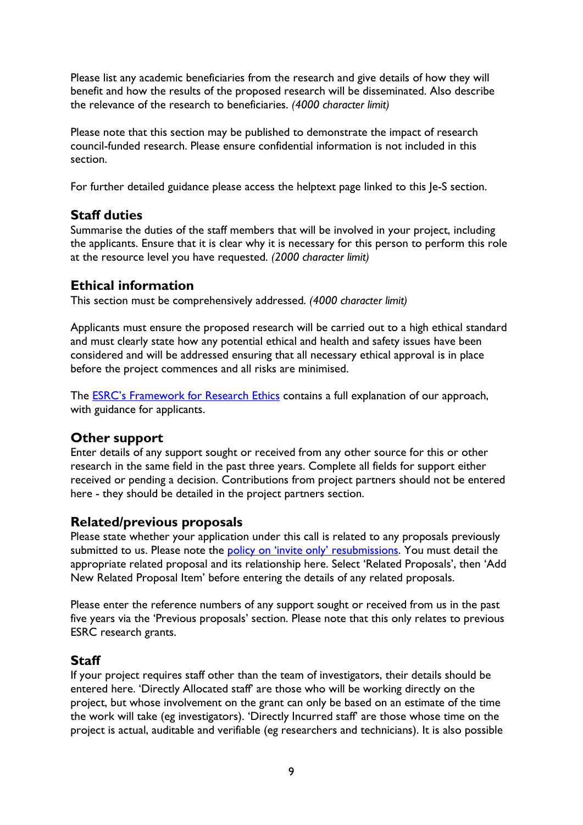Please list any academic beneficiaries from the research and give details of how they will benefit and how the results of the proposed research will be disseminated. Also describe the relevance of the research to beneficiaries. *(4000 character limit)*

Please note that this section may be published to demonstrate the impact of research council-funded research. Please ensure confidential information is not included in this section.

For further detailed guidance please access the helptext page linked to this Je-S section.

# <span id="page-8-0"></span>**Staff duties**

Summarise the duties of the staff members that will be involved in your project, including the applicants. Ensure that it is clear why it is necessary for this person to perform this role at the resource level you have requested. *(2000 character limit)*

# <span id="page-8-1"></span>**Ethical information**

This section must be comprehensively addressed. *(4000 character limit)*

Applicants must ensure the proposed research will be carried out to a high ethical standard and must clearly state how any potential ethical and health and safety issues have been considered and will be addressed ensuring that all necessary ethical approval is in place before the project commences and all risks are minimised.

The **ESRC's Framework for Research Ethics** contains a full explanation of our approach, with guidance for applicants.

## <span id="page-8-2"></span>**Other support**

Enter details of any support sought or received from any other source for this or other research in the same field in the past three years. Complete all fields for support either received or pending a decision. Contributions from project partners should not be entered here - they should be detailed in the project partners section.

## <span id="page-8-3"></span>**Related/previous proposals**

Please state whether your application under this call is related to any proposals previously submitted to us. Please note the [policy on 'invite only' resubmissions.](https://esrc.ukri.org/funding/guidance-for-applicants/resubmissions-policy/) You must detail the appropriate related proposal and its relationship here. Select 'Related Proposals', then 'Add New Related Proposal Item' before entering the details of any related proposals.

Please enter the reference numbers of any support sought or received from us in the past five years via the 'Previous proposals' section. Please note that this only relates to previous ESRC research grants.

# <span id="page-8-4"></span>**Staff**

If your project requires staff other than the team of investigators, their details should be entered here. 'Directly Allocated staff' are those who will be working directly on the project, but whose involvement on the grant can only be based on an estimate of the time the work will take (eg investigators). 'Directly Incurred staff' are those whose time on the project is actual, auditable and verifiable (eg researchers and technicians). It is also possible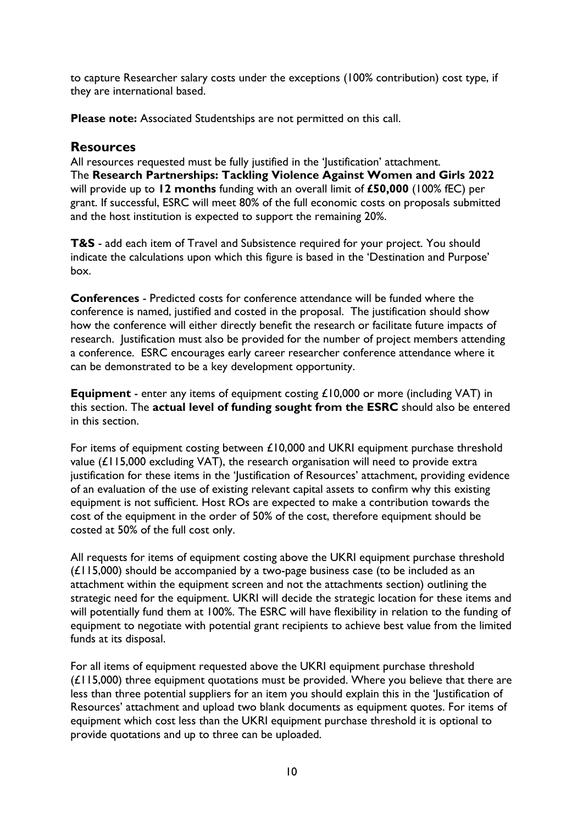to capture Researcher salary costs under the exceptions (100% contribution) cost type, if they are international based.

**Please note:** Associated Studentships are not permitted on this call.

#### <span id="page-9-0"></span>**Resources**

All resources requested must be fully justified in the 'Justification' attachment. The **Research Partnerships: Tackling Violence Against Women and Girls 2022**  will provide up to **12 months** funding with an overall limit of **£50,000** (100% fEC) per grant. If successful, ESRC will meet 80% of the full economic costs on proposals submitted and the host institution is expected to support the remaining 20%.

**T&S** - add each item of Travel and Subsistence required for your project. You should indicate the calculations upon which this figure is based in the 'Destination and Purpose' box.

**Conferences** - Predicted costs for conference attendance will be funded where the conference is named, justified and costed in the proposal. The justification should show how the conference will either directly benefit the research or facilitate future impacts of research. Justification must also be provided for the number of project members attending a conference. ESRC encourages early career researcher conference attendance where it can be demonstrated to be a key development opportunity.

**Equipment** - enter any items of equipment costing £10,000 or more (including VAT) in this section. The **actual level of funding sought from the ESRC** should also be entered in this section.

For items of equipment costing between £10,000 and UKRI equipment purchase threshold value (£115,000 excluding VAT), the research organisation will need to provide extra justification for these items in the 'Justification of Resources' attachment, providing evidence of an evaluation of the use of existing relevant capital assets to confirm why this existing equipment is not sufficient. Host ROs are expected to make a contribution towards the cost of the equipment in the order of 50% of the cost, therefore equipment should be costed at 50% of the full cost only.

All requests for items of equipment costing above the UKRI equipment purchase threshold  $(E115,000)$  should be accompanied by a two-page business case (to be included as an attachment within the equipment screen and not the attachments section) outlining the strategic need for the equipment. UKRI will decide the strategic location for these items and will potentially fund them at 100%. The ESRC will have flexibility in relation to the funding of equipment to negotiate with potential grant recipients to achieve best value from the limited funds at its disposal.

For all items of equipment requested above the UKRI equipment purchase threshold  $(E115,000)$  three equipment quotations must be provided. Where you believe that there are less than three potential suppliers for an item you should explain this in the 'Justification of Resources' attachment and upload two blank documents as equipment quotes. For items of equipment which cost less than the UKRI equipment purchase threshold it is optional to provide quotations and up to three can be uploaded.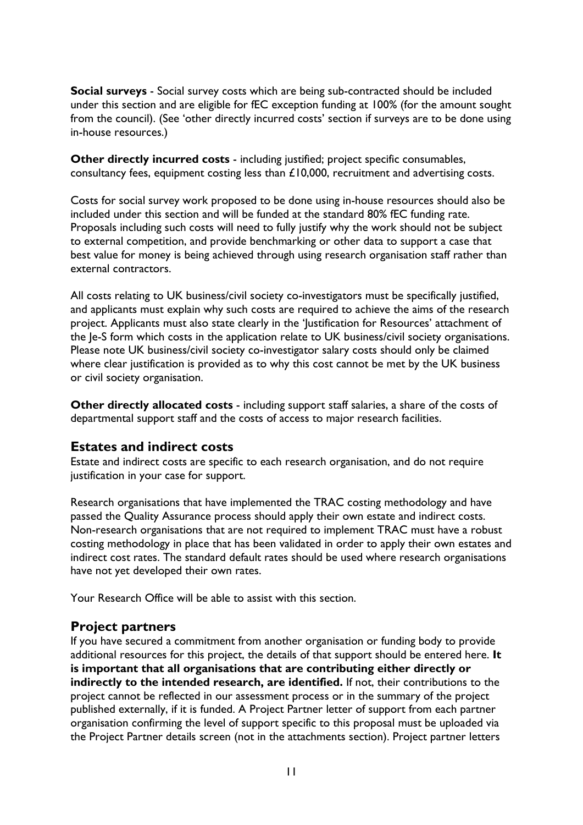**Social surveys** - Social survey costs which are being sub-contracted should be included under this section and are eligible for fEC exception funding at 100% (for the amount sought from the council). (See 'other directly incurred costs' section if surveys are to be done using in-house resources.)

**Other directly incurred costs** - including justified; project specific consumables, consultancy fees, equipment costing less than £10,000, recruitment and advertising costs.

Costs for social survey work proposed to be done using in-house resources should also be included under this section and will be funded at the standard 80% fEC funding rate. Proposals including such costs will need to fully justify why the work should not be subject to external competition, and provide benchmarking or other data to support a case that best value for money is being achieved through using research organisation staff rather than external contractors.

All costs relating to UK business/civil society co-investigators must be specifically justified, and applicants must explain why such costs are required to achieve the aims of the research project. Applicants must also state clearly in the 'Justification for Resources' attachment of the Je-S form which costs in the application relate to UK business/civil society organisations. Please note UK business/civil society co-investigator salary costs should only be claimed where clear justification is provided as to why this cost cannot be met by the UK business or civil society organisation.

**Other directly allocated costs** - including support staff salaries, a share of the costs of departmental support staff and the costs of access to major research facilities.

#### <span id="page-10-0"></span>**Estates and indirect costs**

Estate and indirect costs are specific to each research organisation, and do not require justification in your case for support.

Research organisations that have implemented the TRAC costing methodology and have passed the Quality Assurance process should apply their own estate and indirect costs. Non-research organisations that are not required to implement TRAC must have a robust costing methodology in place that has been validated in order to apply their own estates and indirect cost rates. The standard default rates should be used where research organisations have not yet developed their own rates.

Your Research Office will be able to assist with this section.

#### <span id="page-10-1"></span>**Project partners**

If you have secured a commitment from another organisation or funding body to provide additional resources for this project, the details of that support should be entered here. **It is important that all organisations that are contributing either directly or indirectly to the intended research, are identified.** If not, their contributions to the project cannot be reflected in our assessment process or in the summary of the project published externally, if it is funded. A Project Partner letter of support from each partner organisation confirming the level of support specific to this proposal must be uploaded via the Project Partner details screen (not in the attachments section). Project partner letters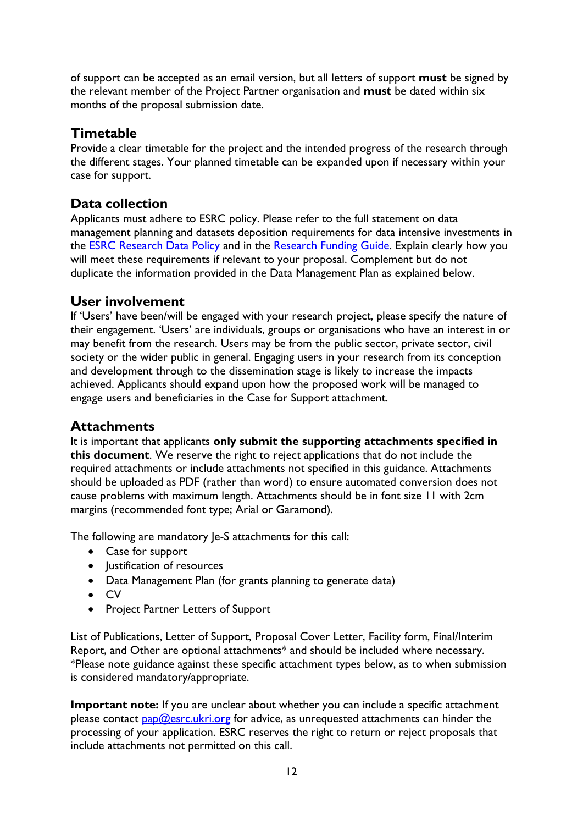of support can be accepted as an email version, but all letters of support **must** be signed by the relevant member of the Project Partner organisation and **must** be dated within six months of the proposal submission date.

## <span id="page-11-0"></span>**Timetable**

Provide a clear timetable for the project and the intended progress of the research through the different stages. Your planned timetable can be expanded upon if necessary within your case for support.

# <span id="page-11-1"></span>**Data collection**

Applicants must adhere to ESRC policy. Please refer to the full statement on data management planning and datasets deposition requirements for data intensive investments in the **ESRC** Research Data Policy and in the [Research Funding](https://esrc.ukri.org/funding/guidance-for-applicants/research-funding-guide/) Guide. Explain clearly how you will meet these requirements if relevant to your proposal. Complement but do not duplicate the information provided in the Data Management Plan as explained below.

# <span id="page-11-2"></span>**User involvement**

If 'Users' have been/will be engaged with your research project, please specify the nature of their engagement. 'Users' are individuals, groups or organisations who have an interest in or may benefit from the research. Users may be from the public sector, private sector, civil society or the wider public in general. Engaging users in your research from its conception and development through to the dissemination stage is likely to increase the impacts achieved. Applicants should expand upon how the proposed work will be managed to engage users and beneficiaries in the Case for Support attachment.

## <span id="page-11-3"></span>**Attachments**

It is important that applicants **only submit the supporting attachments specified in this document**. We reserve the right to reject applications that do not include the required attachments or include attachments not specified in this guidance. Attachments should be uploaded as PDF (rather than word) to ensure automated conversion does not cause problems with maximum length. Attachments should be in font size 11 with 2cm margins (recommended font type; Arial or Garamond).

The following are mandatory Je-S attachments for this call:

- Case for support
- Justification of resources
- Data Management Plan (for grants planning to generate data)
- CV
- Project Partner Letters of Support

List of Publications, Letter of Support, Proposal Cover Letter, Facility form, Final/Interim Report, and Other are optional attachments\* and should be included where necessary. \*Please note guidance against these specific attachment types below, as to when submission is considered mandatory/appropriate.

**Important note:** If you are unclear about whether you can include a specific attachment please contact  $\frac{pap}{Q}$ esrc.ukri.org for advice, as unrequested attachments can hinder the processing of your application. ESRC reserves the right to return or reject proposals that include attachments not permitted on this call.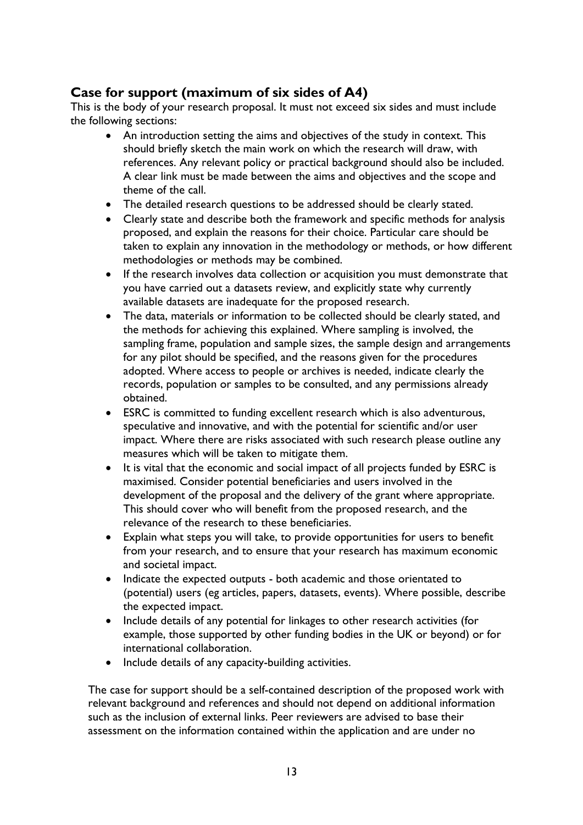# <span id="page-12-0"></span>**Case for support (maximum of six sides of A4)**

This is the body of your research proposal. It must not exceed six sides and must include the following sections:

- An introduction setting the aims and objectives of the study in context. This should briefly sketch the main work on which the research will draw, with references. Any relevant policy or practical background should also be included. A clear link must be made between the aims and objectives and the scope and theme of the call.
- The detailed research questions to be addressed should be clearly stated.
- Clearly state and describe both the framework and specific methods for analysis proposed, and explain the reasons for their choice. Particular care should be taken to explain any innovation in the methodology or methods, or how different methodologies or methods may be combined.
- If the research involves data collection or acquisition you must demonstrate that you have carried out a datasets review, and explicitly state why currently available datasets are inadequate for the proposed research.
- The data, materials or information to be collected should be clearly stated, and the methods for achieving this explained. Where sampling is involved, the sampling frame, population and sample sizes, the sample design and arrangements for any pilot should be specified, and the reasons given for the procedures adopted. Where access to people or archives is needed, indicate clearly the records, population or samples to be consulted, and any permissions already obtained.
- ESRC is committed to funding excellent research which is also adventurous, speculative and innovative, and with the potential for scientific and/or user impact. Where there are risks associated with such research please outline any measures which will be taken to mitigate them.
- It is vital that the economic and social impact of all projects funded by ESRC is maximised. Consider potential beneficiaries and users involved in the development of the proposal and the delivery of the grant where appropriate. This should cover who will benefit from the proposed research, and the relevance of the research to these beneficiaries.
- Explain what steps you will take, to provide opportunities for users to benefit from your research, and to ensure that your research has maximum economic and societal impact.
- Indicate the expected outputs both academic and those orientated to (potential) users (eg articles, papers, datasets, events). Where possible, describe the expected impact.
- Include details of any potential for linkages to other research activities (for example, those supported by other funding bodies in the UK or beyond) or for international collaboration.
- Include details of any capacity-building activities.

The case for support should be a self-contained description of the proposed work with relevant background and references and should not depend on additional information such as the inclusion of external links. Peer reviewers are advised to base their assessment on the information contained within the application and are under no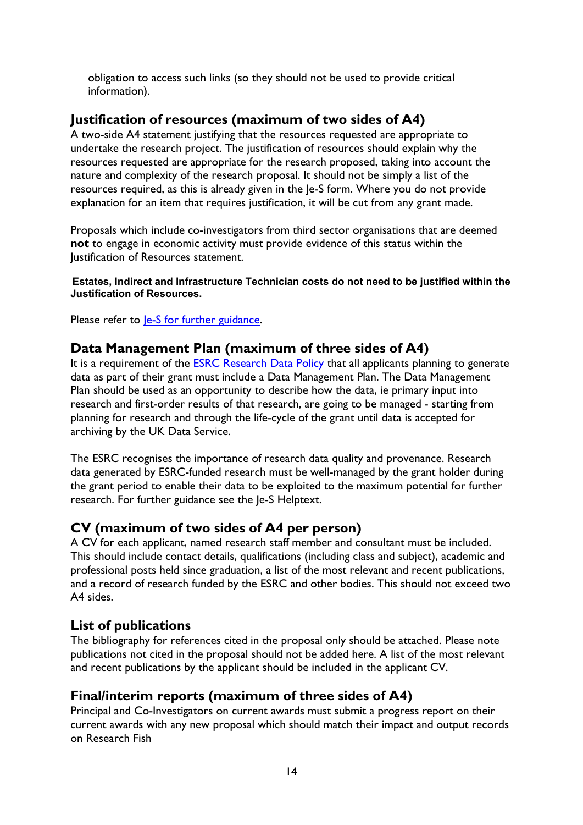obligation to access such links (so they should not be used to provide critical information).

# <span id="page-13-0"></span>**Justification of resources (maximum of two sides of A4)**

A two-side A4 statement justifying that the resources requested are appropriate to undertake the research project. The justification of resources should explain why the resources requested are appropriate for the research proposed, taking into account the nature and complexity of the research proposal. It should not be simply a list of the resources required, as this is already given in the Je-S form. Where you do not provide explanation for an item that requires justification, it will be cut from any grant made.

Proposals which include co-investigators from third sector organisations that are deemed **not** to engage in economic activity must provide evidence of this status within the Justification of Resources statement.

#### **Estates, Indirect and Infrastructure Technician costs do not need to be justified within the Justification of Resources.**

Please refer to <u>Je-S for further guidance</u>.

# <span id="page-13-1"></span>**Data Management Plan (maximum of three sides of A4)**

It is a requirement of the **[ESRC Research](https://esrc.ukri.org/funding/guidance-for-grant-holders/research-data-policy/) Data Policy** that all applicants planning to generate data as part of their grant must include a Data Management Plan. The Data Management Plan should be used as an opportunity to describe how the data, ie primary input into research and first-order results of that research, are going to be managed - starting from planning for research and through the life-cycle of the grant until data is accepted for archiving by the UK Data Service.

The ESRC recognises the importance of research data quality and provenance. Research data generated by ESRC-funded research must be well-managed by the grant holder during the grant period to enable their data to be exploited to the maximum potential for further research. For further guidance see the Je-S Helptext.

## <span id="page-13-2"></span>**CV (maximum of two sides of A4 per person)**

A CV for each applicant, named research staff member and consultant must be included. This should include contact details, qualifications (including class and subject), academic and professional posts held since graduation, a list of the most relevant and recent publications, and a record of research funded by the ESRC and other bodies. This should not exceed two A4 sides.

# <span id="page-13-3"></span>**List of publications**

The bibliography for references cited in the proposal only should be attached. Please note publications not cited in the proposal should not be added here. A list of the most relevant and recent publications by the applicant should be included in the applicant CV.

# <span id="page-13-4"></span>**Final/interim reports (maximum of three sides of A4)**

Principal and Co-Investigators on current awards must submit a progress report on their current awards with any new proposal which should match their impact and output records on Research Fish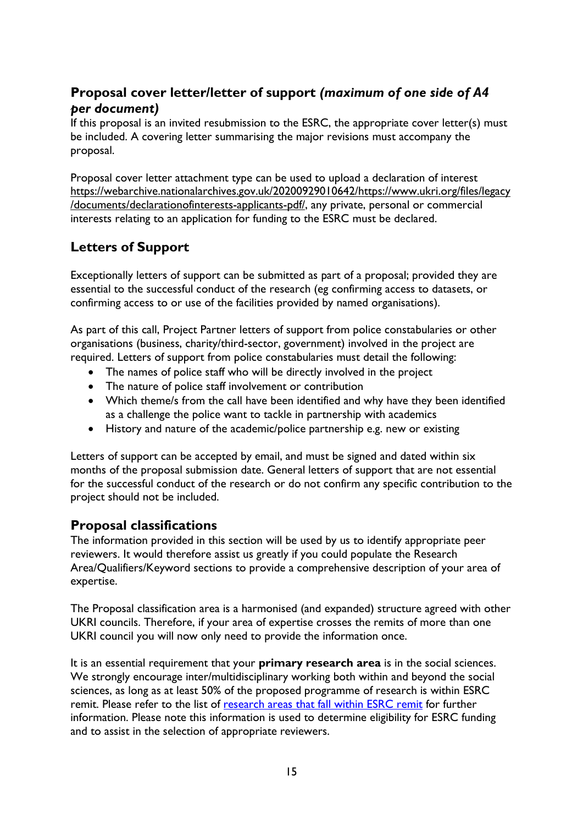# <span id="page-14-0"></span>**Proposal cover letter/letter of support** *(maximum of one side of A4 per document)*

If this proposal is an invited resubmission to the ESRC, the appropriate cover letter(s) must be included. A covering letter summarising the major revisions must accompany the proposal.

Proposal cover letter attachment type can be used to upload a declaration of interest [https://webarchive.nationalarchives.gov.uk/20200929010642/https://www.ukri.org/files/legacy](https://eur01.safelinks.protection.outlook.com/?url=https%3A%2F%2Fwebarchive.nationalarchives.gov.uk%2F20200929010642%2Fhttps%3A%2Fwww.ukri.org%2Ffiles%2Flegacy%2Fdocuments%2Fdeclarationofinterests-applicants-pdf%2F&data=04%7C01%7CJulian.Style%40esrc.ukri.org%7Cfa4eda9777214479056c08d88be3defa%7C2dcfd016f9df488cb16b68345b59afb7%7C0%7C0%7C637413158094663635%7CUnknown%7CTWFpbGZsb3d8eyJWIjoiMC4wLjAwMDAiLCJQIjoiV2luMzIiLCJBTiI6Ik1haWwiLCJXVCI6Mn0%3D%7C1000&sdata=8o%2B7HrekVY734FFX2cE4ixxZFPJ71UKWBjm%2F%2BcX74fs%3D&reserved=0) [/documents/declarationofinterests-applicants-pdf/,](https://eur01.safelinks.protection.outlook.com/?url=https%3A%2F%2Fwebarchive.nationalarchives.gov.uk%2F20200929010642%2Fhttps%3A%2Fwww.ukri.org%2Ffiles%2Flegacy%2Fdocuments%2Fdeclarationofinterests-applicants-pdf%2F&data=04%7C01%7CJulian.Style%40esrc.ukri.org%7Cfa4eda9777214479056c08d88be3defa%7C2dcfd016f9df488cb16b68345b59afb7%7C0%7C0%7C637413158094663635%7CUnknown%7CTWFpbGZsb3d8eyJWIjoiMC4wLjAwMDAiLCJQIjoiV2luMzIiLCJBTiI6Ik1haWwiLCJXVCI6Mn0%3D%7C1000&sdata=8o%2B7HrekVY734FFX2cE4ixxZFPJ71UKWBjm%2F%2BcX74fs%3D&reserved=0) any private, personal or commercial interests relating to an application for funding to the ESRC must be declared.

# **Letters of Support**

Exceptionally letters of support can be submitted as part of a proposal; provided they are essential to the successful conduct of the research (eg confirming access to datasets, or confirming access to or use of the facilities provided by named organisations).

As part of this call, Project Partner letters of support from police constabularies or other organisations (business, charity/third-sector, government) involved in the project are required. Letters of support from police constabularies must detail the following:

- The names of police staff who will be directly involved in the project
- The nature of police staff involvement or contribution
- Which theme/s from the call have been identified and why have they been identified as a challenge the police want to tackle in partnership with academics
- History and nature of the academic/police partnership e.g. new or existing

Letters of support can be accepted by email, and must be signed and dated within six months of the proposal submission date. General letters of support that are not essential for the successful conduct of the research or do not confirm any specific contribution to the project should not be included.

# <span id="page-14-1"></span>**Proposal classifications**

The information provided in this section will be used by us to identify appropriate peer reviewers. It would therefore assist us greatly if you could populate the Research Area/Qualifiers/Keyword sections to provide a comprehensive description of your area of expertise.

The Proposal classification area is a harmonised (and expanded) structure agreed with other UKRI councils. Therefore, if your area of expertise crosses the remits of more than one UKRI council you will now only need to provide the information once.

It is an essential requirement that your **primary research area** is in the social sciences. We strongly encourage inter/multidisciplinary working both within and beyond the social sciences, as long as at least 50% of the proposed programme of research is within ESRC remit. Please refer to the list of [research areas that fall within ESRC remit](https://esrc.ukri.org/about-us/what-is-social-science/social-science-disciplines/) for further information. Please note this information is used to determine eligibility for ESRC funding and to assist in the selection of appropriate reviewers.